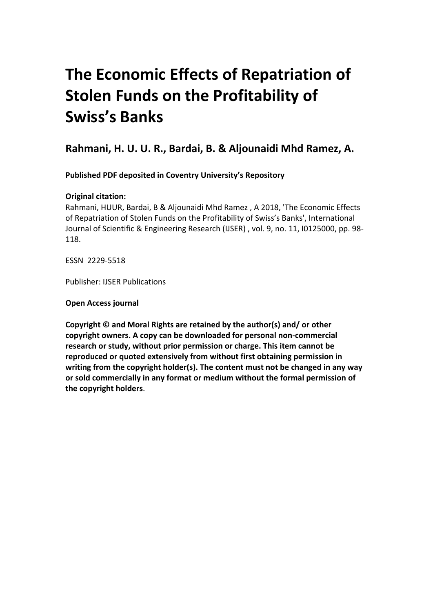### **The Economic Effects of Repatriation of Stolen Funds on the Profitability of Swiss's Banks**

**Rahmani, H. U. U. R., Bardai, B. & Aljounaidi Mhd Ramez, A.**

**Published PDF deposited in Coventry University's Repository** 

### **Original citation:**

Rahmani, HUUR, Bardai, B & Aljounaidi Mhd Ramez , A 2018, 'The Economic Effects of Repatriation of Stolen Funds on the Profitability of Swiss's Banks', International Journal of Scientific & Engineering Research (IJSER) , vol. 9, no. 11, I0125000, pp. 98- 118.

ESSN 2229-5518

Publisher: IJSER Publications

**Open Access journal**

**Copyright © and Moral Rights are retained by the author(s) and/ or other copyright owners. A copy can be downloaded for personal non-commercial research or study, without prior permission or charge. This item cannot be reproduced or quoted extensively from without first obtaining permission in writing from the copyright holder(s). The content must not be changed in any way or sold commercially in any format or medium without the formal permission of the copyright holders**.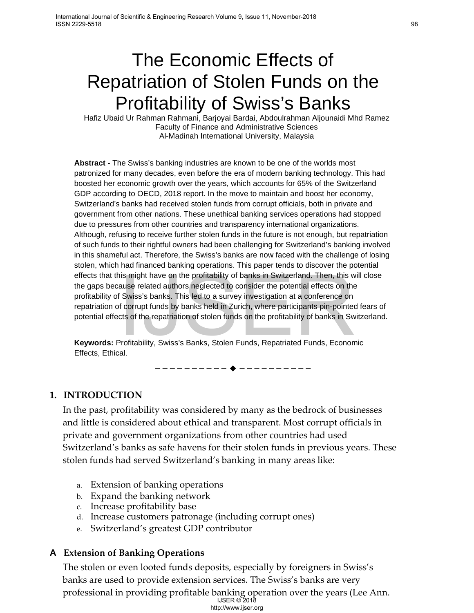### The Economic Effects of Repatriation of Stolen Funds on the Profitability of Swiss's Banks

Hafiz Ubaid Ur Rahman Rahmani, Barjoyai Bardai, Abdoulrahman Aljounaidi Mhd Ramez Faculty of Finance and Administrative Sciences Al-Madinah International University, Malaysia

**Abstract -** The Swiss's banking industries are known to be one of the worlds most patronized for many decades, even before the era of modern banking technology. This had boosted her economic growth over the years, which accounts for 65% of the Switzerland GDP according to OECD, 2018 report. In the move to maintain and boost her economy, Switzerland's banks had received stolen funds from corrupt officials, both in private and government from other nations. These unethical banking services operations had stopped due to pressures from other countries and transparency international organizations. Although, refusing to receive further stolen funds in the future is not enough, but repatriation of such funds to their rightful owners had been challenging for Switzerland's banking involved in this shameful act. Therefore, the Swiss's banks are now faced with the challenge of losing stolen, which had financed banking operations. This paper tends to discover the potential effects that this might have on the profitability of banks in Switzerland. Then, this will close the gaps because related authors neglected to consider the potential effects on the profitability of Swiss's banks. This led to a survey investigation at a conference on repatriation of corrupt funds by banks held in Zurich, where participants pin-pointed fears of potential effects of the repatriation of stolen funds on the profitability of banks in Switzerland.

**Keywords:** Profitability, Swiss's Banks, Stolen Funds, Repatriated Funds, Economic Effects, Ethical.

**1. INTRODUCTION**

In the past, profitability was considered by many as the bedrock of businesses and little is considered about ethical and transparent. Most corrupt officials in private and government organizations from other countries had used Switzerland's banks as safe havens for their stolen funds in previous years. These stolen funds had served Switzerland's banking in many areas like: nis might have on the profitability of banks in Switzerland. Then, this was related authors neglected to consider the potential effects on that SWES's banks. This led to a survey investigation at a conference on forcrupt f

————————— ♦ —————————

- a. Extension of banking operations
- b. Expand the banking network
- c. Increase profitability base
- d. Increase customers patronage (including corrupt ones)
- e. Switzerland's greatest GDP contributor

### **A Extension of Banking Operations**

The stolen or even looted funds deposits, especially by foreigners in Swiss's banks are used to provide extension services. The Swiss's banks are very professional in providing profitable banking operation over the years (Lee Ann.

IJSER © 2018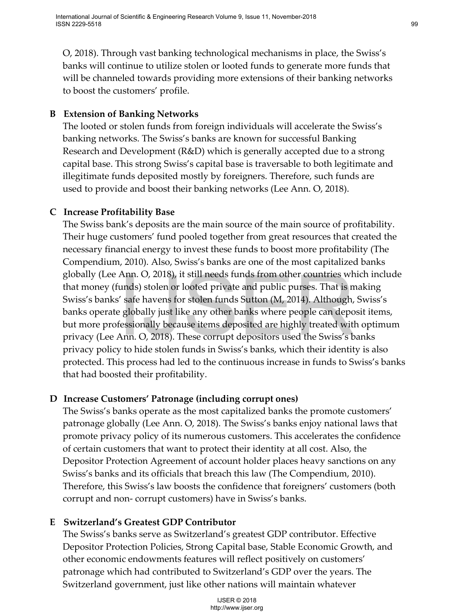O, 2018). Through vast banking technological mechanisms in place, the Swiss's banks will continue to utilize stolen or looted funds to generate more funds that will be channeled towards providing more extensions of their banking networks to boost the customers' profile.

### **B Extension of Banking Networks**

The looted or stolen funds from foreign individuals will accelerate the Swiss's banking networks. The Swiss's banks are known for successful Banking Research and Development (R&D) which is generally accepted due to a strong capital base. This strong Swiss's capital base is traversable to both legitimate and illegitimate funds deposited mostly by foreigners. Therefore, such funds are used to provide and boost their banking networks (Lee Ann. O, 2018).

### **C Increase Profitability Base**

The Swiss bank's deposits are the main source of the main source of profitability. Their huge customers' fund pooled together from great resources that created the necessary financial energy to invest these funds to boost more profitability (The Compendium, 2010). Also, Swiss's banks are one of the most capitalized banks globally (Lee Ann. O, 2018), it still needs funds from other countries which include that money (funds) stolen or looted private and public purses. That is making Swiss's banks' safe havens for stolen funds Sutton (M, 2014). Although, Swiss's banks operate globally just like any other banks where people can deposit items, but more professionally because items deposited are highly treated with optimum privacy (Lee Ann. O, 2018). These corrupt depositors used the Swiss's banks privacy policy to hide stolen funds in Swiss's banks, which their identity is also protected. This process had led to the continuous increase in funds to Swiss's banks that had boosted their profitability. Ann. O, 2018), it still needs tunds from other countries whendy slolen or loobed private and public purses. That is mean single provide and public purses in the spoke the shorts of solen funds Sutton (M, 2014). Although, g

### **D Increase Customers' Patronage (including corrupt ones)**

The Swiss's banks operate as the most capitalized banks the promote customers' patronage globally (Lee Ann. O, 2018). The Swiss's banks enjoy national laws that promote privacy policy of its numerous customers. This accelerates the confidence of certain customers that want to protect their identity at all cost. Also, the Depositor Protection Agreement of account holder places heavy sanctions on any Swiss's banks and its officials that breach this law (The Compendium, 2010). Therefore, this Swiss's law boosts the confidence that foreigners' customers (both corrupt and non- corrupt customers) have in Swiss's banks.

### **E Switzerland's Greatest GDP Contributor**

The Swiss's banks serve as Switzerland's greatest GDP contributor. Effective Depositor Protection Policies, Strong Capital base, Stable Economic Growth, and other economic endowments features will reflect positively on customers' patronage which had contributed to Switzerland's GDP over the years. The Switzerland government, just like other nations will maintain whatever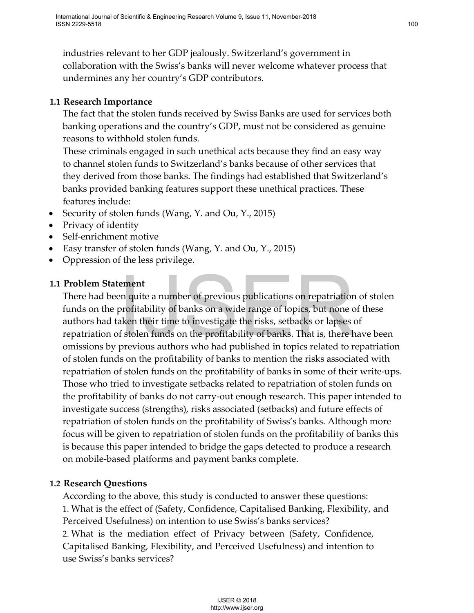industries relevant to her GDP jealously. Switzerland's government in collaboration with the Swiss's banks will never welcome whatever process that undermines any her country's GDP contributors.

### **1.1 Research Importance**

The fact that the stolen funds received by Swiss Banks are used for services both banking operations and the country's GDP, must not be considered as genuine reasons to withhold stolen funds.

These criminals engaged in such unethical acts because they find an easy way to channel stolen funds to Switzerland's banks because of other services that they derived from those banks. The findings had established that Switzerland's banks provided banking features support these unethical practices. These features include:

- Security of stolen funds (Wang, Y. and Ou, Y., 2015)
- Privacy of identity
- Self-enrichment motive
- Easy transfer of stolen funds (Wang, Y. and Ou, Y., 2015)
- Oppression of the less privilege.

### **1.1 Problem Statement**

There had been quite a number of previous publications on repatriation of stolen funds on the profitability of banks on a wide range of topics, but none of these authors had taken their time to investigate the risks, setbacks or lapses of repatriation of stolen funds on the profitability of banks. That is, there have been omissions by previous authors who had published in topics related to repatriation of stolen funds on the profitability of banks to mention the risks associated with repatriation of stolen funds on the profitability of banks in some of their write-ups. Those who tried to investigate setbacks related to repatriation of stolen funds on the profitability of banks do not carry-out enough research. This paper intended to investigate success (strengths), risks associated (setbacks) and future effects of repatriation of stolen funds on the profitability of Swiss's banks. Although more focus will be given to repatriation of stolen funds on the profitability of banks this is because this paper intended to bridge the gaps detected to produce a research on mobile-based platforms and payment banks complete. **ement**<br>
ement<br>
an quite a number of previous publications on repatriation<br>
profitability of banks on a wide range of topics, but none c<br>
a kehen funds on the profitability of banks. That is, there<br>
f stellen funds on the

### **1.2 Research Questions**

According to the above, this study is conducted to answer these questions: 1. What is the effect of (Safety, Confidence, Capitalised Banking, Flexibility, and Perceived Usefulness) on intention to use Swiss's banks services? 2. What is the mediation effect of Privacy between (Safety, Confidence, Capitalised Banking, Flexibility, and Perceived Usefulness) and intention to use Swiss's banks services?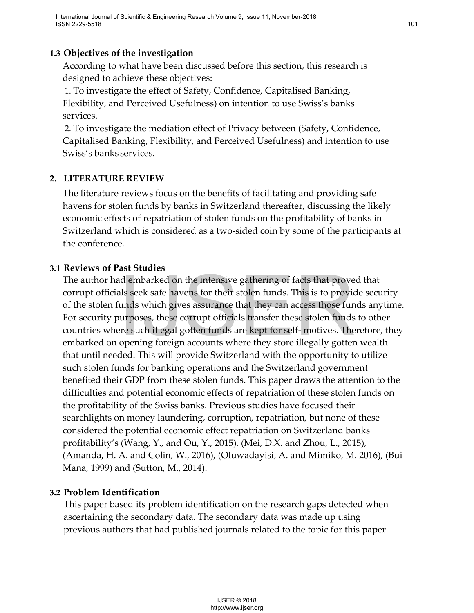### **1.3 Objectives of the investigation**

According to what have been discussed before this section, this research is designed to achieve these objectives:

1. To investigate the effect of Safety, Confidence, Capitalised Banking, Flexibility, and Perceived Usefulness) on intention to use Swiss's banks services.

2. To investigate the mediation effect of Privacy between (Safety, Confidence, Capitalised Banking, Flexibility, and Perceived Usefulness) and intention to use Swiss's banks services.

### **2. LITERATURE REVIEW**

The literature reviews focus on the benefits of facilitating and providing safe havens for stolen funds by banks in Switzerland thereafter, discussing the likely economic effects of repatriation of stolen funds on the profitability of banks in Switzerland which is considered as a two-sided coin by some of the participants at the conference.

### **3.1 Reviews of Past Studies**

The author had embarked on the intensive gathering of facts that proved that corrupt officials seek safe havens for their stolen funds. This is to provide security of the stolen funds which gives assurance that they can access those funds anytime. For security purposes, these corrupt officials transfer these stolen funds to other countries where such illegal gotten funds are kept for self- motives. Therefore, they embarked on opening foreign accounts where they store illegally gotten wealth that until needed. This will provide Switzerland with the opportunity to utilize such stolen funds for banking operations and the Switzerland government benefited their GDP from these stolen funds. This paper draws the attention to the difficulties and potential economic effects of repatriation of these stolen funds on the profitability of the Swiss banks. Previous studies have focused their searchlights on money laundering, corruption, repatriation, but none of these considered the potential economic effect repatriation on Switzerland banks profitability's (Wang, Y., and Ou, Y., 2015), (Mei, D.X. and Zhou, L., 2015), (Amanda, H. A. and Colin, W., 2016), (Oluwadayisi, A. and Mimiko, M. 2016), (Bui Mana, 1999) and (Sutton, M., 2014). dembarked on the intensive gathering of facts that proves<br>als seek safe havens for their stolen funds. This is to provid<br>als seek safe havens for their stolen funds. This is to provid<br>autyposes, these corrupt officials tra

### **3.2 Problem Identification**

This paper based its problem identification on the research gaps detected when ascertaining the secondary data. The secondary data was made up using previous authors that had published journals related to the topic for this paper.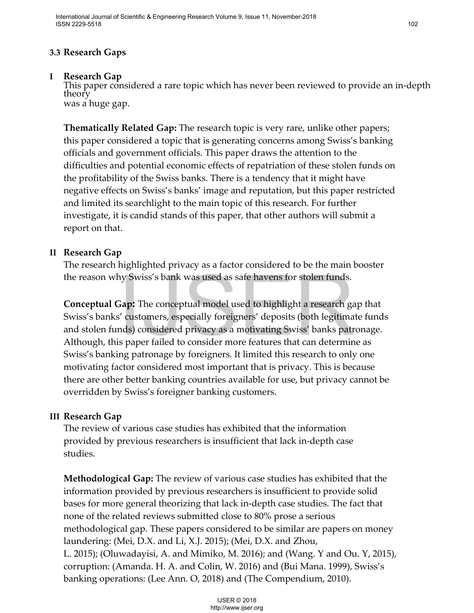### **3.3 Research Gaps**

**<sup>I</sup> Research Gap** This paper considered a rare topic which has never been reviewed to provide an in-depth theory was a huge gap.

**Thematically Related Gap:** The research topic is very rare, unlike other papers; this paper considered a topic that is generating concerns among Swiss's banking officials and government officials. This paper draws the attention to the difficulties and potential economic effects of repatriation of these stolen funds on the profitability of the Swiss banks. There is a tendency that it might have negative effects on Swiss's banks' image and reputation, but this paper restricted and limited its searchlight to the main topic of this research. For further investigate, it is candid stands of this paper, that other authors will submit a report on that.

### **II Research Gap**

The research highlighted privacy as a factor considered to be the main booster the reason why Swiss's bank was used as safe havens for stolen funds.

**Conceptual Gap:** The conceptual model used to highlight a research gap that Swiss's banks' customers, especially foreigners' deposits (both legitimate funds and stolen funds) considered privacy as a motivating Swiss' banks patronage. Although, this paper failed to consider more features that can determine as Swiss's banking patronage by foreigners. It limited this research to only one motivating factor considered most important that is privacy. This is because there are other better banking countries available for use, but privacy cannot be overridden by Swiss's foreigner banking customers.

### **III Research Gap**

The review of various case studies has exhibited that the information provided by previous researchers is insufficient that lack in-depth case studies.

**Methodological Gap:** The review of various case studies has exhibited that the information provided by previous researchers is insufficient to provide solid bases for more general theorizing that lack in-depth case studies. The fact that none of the related reviews submitted close to 80% prose a serious methodological gap. These papers considered to be similar are papers on money laundering: (Mei, D.X. and Li, X.J. 2015); (Mei, D.X. and Zhou, L. 2015); (Oluwadayisi, A. and Mimiko, M. 2016); and (Wang. Y and Ou. Y, 2015), corruption: (Amanda. H. A. and Colin, W. 2016) and (Bui Mana. 1999), Swiss's banking operations: (Lee Ann. O, 2018) and (The Compendium, 2010). Notices' solution and the booking the system of the series and the booking of the series of "<br>
Sapt. The conceptual model used to highlight a research g'<br>
d' customers, especially foreigners' deposits (both legitima<br>
dds)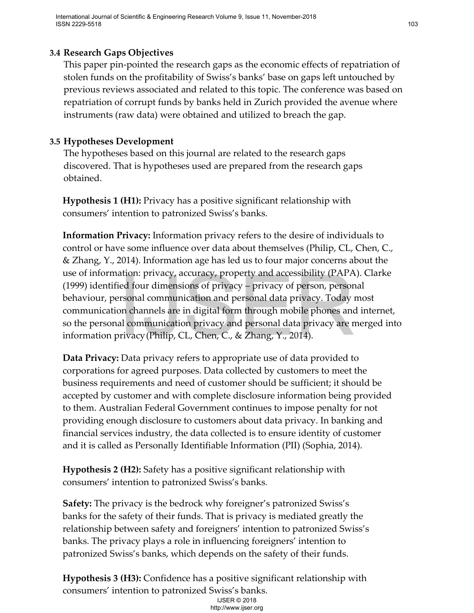### **3.4 Research Gaps Objectives**

This paper pin-pointed the research gaps as the economic effects of repatriation of stolen funds on the profitability of Swiss's banks' base on gaps left untouched by previous reviews associated and related to this topic. The conference was based on repatriation of corrupt funds by banks held in Zurich provided the avenue where instruments (raw data) were obtained and utilized to breach the gap.

### **3.5 Hypotheses Development**

The hypotheses based on this journal are related to the research gaps discovered. That is hypotheses used are prepared from the research gaps obtained.

**Hypothesis 1 (H1):** Privacy has a positive significant relationship with consumers' intention to patronized Swiss's banks.

**Information Privacy:** Information privacy refers to the desire of individuals to control or have some influence over data about themselves (Philip, CL, Chen, C., & Zhang, Y., 2014). Information age has led us to four major concerns about the use of information: privacy, accuracy, property and accessibility (PAPA). Clarke (1999) identified four dimensions of privacy – privacy of person, personal behaviour, personal communication and personal data privacy. Today most communication channels are in digital form through mobile phones and internet, so the personal communication privacy and personal data privacy are merged into information privacy(Philip, CL, Chen, C., & Zhang, Y., 2014).

**Data Privacy:** Data privacy refers to appropriate use of data provided to corporations for agreed purposes. Data collected by customers to meet the business requirements and need of customer should be sufficient; it should be accepted by customer and with complete disclosure information being provided to them. Australian Federal Government continues to impose penalty for not providing enough disclosure to customers about data privacy. In banking and financial services industry, the data collected is to ensure identity of customer and it is called as Personally Identifiable Information (PII) (Sophia, 2014). ation: privacy, accuracy, property and accessibility (FAFA<br>eed four dimensions of privacy – privacy of person, person<br>arsonal communication and personal data privacy. Today<br>in channels are in digital form through mobile ph

**Hypothesis 2 (H2):** Safety has a positive significant relationship with consumers' intention to patronized Swiss's banks.

**Safety:** The privacy is the bedrock why foreigner's patronized Swiss's banks for the safety of their funds. That is privacy is mediated greatly the relationship between safety and foreigners' intention to patronized Swiss's banks. The privacy plays a role in influencing foreigners' intention to patronized Swiss's banks, which depends on the safety of their funds.

**Hypothesis 3 (H3):** Confidence has a positive significant relationship with consumers' intention to patronized Swiss's banks.

IJSER © 2018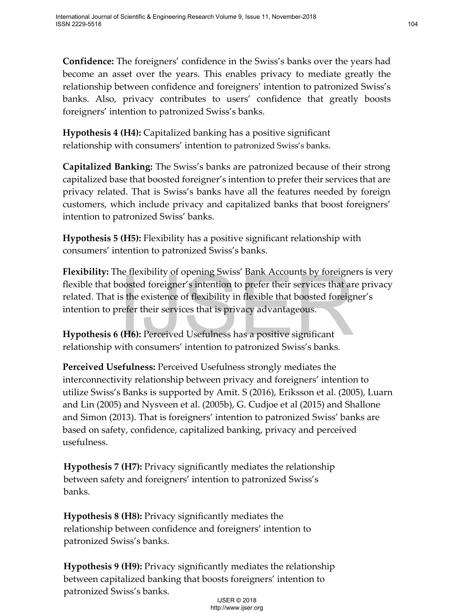**Confidence:** The foreigners' confidence in the Swiss's banks over the years had become an asset over the years. This enables privacy to mediate greatly the relationship between confidence and foreigners' intention to patronized Swiss's banks. Also, privacy contributes to users' confidence that greatly boosts foreigners' intention to patronized Swiss's banks.

**Hypothesis 4 (H4):** Capitalized banking has a positive significant relationship with consumers' intention to patronized Swiss's banks.

**Capitalized Banking:** The Swiss's banks are patronized because of their strong capitalized base that boosted foreigner's intention to prefer their services that are privacy related. That is Swiss's banks have all the features needed by foreign customers, which include privacy and capitalized banks that boost foreigners' intention to patronized Swiss' banks.

**Hypothesis 5 (H5):** Flexibility has a positive significant relationship with consumers' intention to patronized Swiss's banks.

**Flexibility:** The flexibility of opening Swiss' Bank Accounts by foreigners is very flexible that boosted foreigner's intention to prefer their services that are privacy related. That is the existence of flexibility in flexible that boosted foreigner's intention to prefer their services that is privacy advantageous.

**Hypothesis 6 (H6):** Perceived Usefulness has a positive significant relationship with consumers' intention to patronized Swiss's banks.

**Perceived Usefulness:** Perceived Usefulness strongly mediates the interconnectivity relationship between privacy and foreigners' intention to utilize Swiss's Banks is supported by Amit. S (2016), Eriksson et al. (2005), Luarn and Lin (2005) and Nysveen et al. (2005b), G. Cudjoe et al (2015) and Shallone and Simon (2013). That is foreigners' intention to patronized Swiss' banks are based on safety, confidence, capitalized banking, privacy and perceived usefulness. in the manning of pering somes bands Actourus by protepting<br>coosted foreigner's intention to prefer their services that a<br>sis the existence of flexibility in flexible that boosted foreign<br>refer their services that is priva

**Hypothesis 7 (H7):** Privacy significantly mediates the relationship between safety and foreigners' intention to patronized Swiss's banks.

**Hypothesis 8 (H8):** Privacy significantly mediates the relationship between confidence and foreigners' intention to patronized Swiss's banks.

**Hypothesis 9 (H9):** Privacy significantly mediates the relationship between capitalized banking that boosts foreigners' intention to patronized Swiss's banks.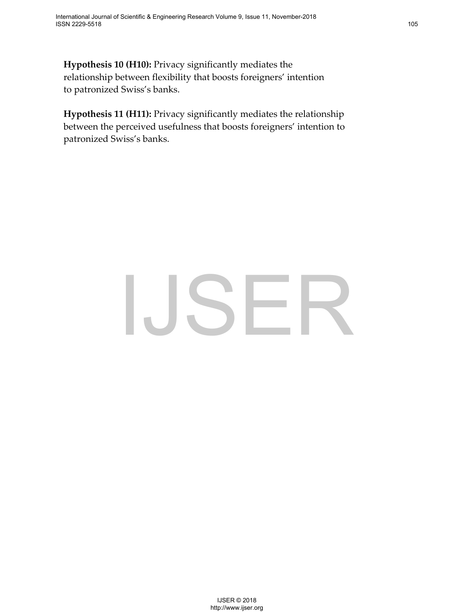**Hypothesis 10 (H10):** Privacy significantly mediates the relationship between flexibility that boosts foreigners' intention to patronized Swiss's banks.

**Hypothesis 11 (H11):** Privacy significantly mediates the relationship between the perceived usefulness that boosts foreigners' intention to patronized Swiss's banks.

# $\bigcup_{\text{user 1}\atop \text{http://www.jser.org}}\n\text{SER}$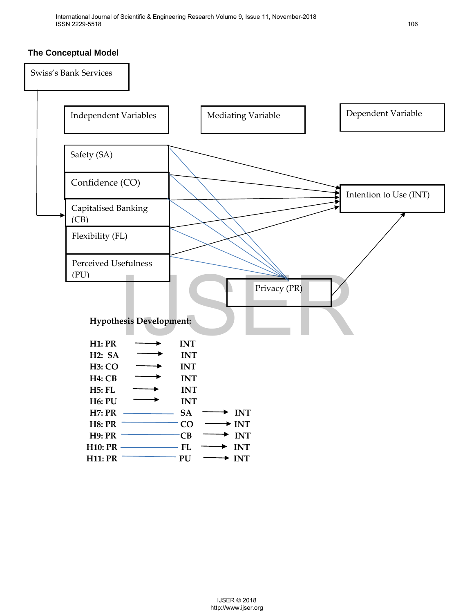### **The Conceptual Model**

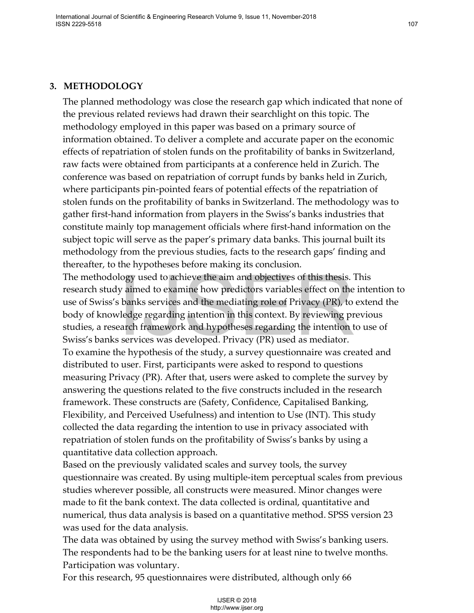### **3. METHODOLOGY**

The planned methodology was close the research gap which indicated that none of the previous related reviews had drawn their searchlight on this topic. The methodology employed in this paper was based on a primary source of information obtained. To deliver a complete and accurate paper on the economic effects of repatriation of stolen funds on the profitability of banks in Switzerland, raw facts were obtained from participants at a conference held in Zurich. The conference was based on repatriation of corrupt funds by banks held in Zurich, where participants pin-pointed fears of potential effects of the repatriation of stolen funds on the profitability of banks in Switzerland. The methodology was to gather first-hand information from players in the Swiss's banks industries that constitute mainly top management officials where first-hand information on the subject topic will serve as the paper's primary data banks. This journal built its methodology from the previous studies, facts to the research gaps' finding and thereafter, to the hypotheses before making its conclusion.

The methodology used to achieve the aim and objectives of this thesis. This research study aimed to examine how predictors variables effect on the intention to use of Swiss's banks services and the mediating role of Privacy (PR), to extend the body of knowledge regarding intention in this context. By reviewing previous studies, a research framework and hypotheses regarding the intention to use of Swiss's banks services was developed. Privacy (PR) used as mediator. To examine the hypothesis of the study, a survey questionnaire was created and distributed to user. First, participants were asked to respond to questions measuring Privacy (PR). After that, users were asked to complete the survey by answering the questions related to the five constructs included in the research framework. These constructs are (Safety, Confidence, Capitalised Banking, Flexibility, and Perceived Usefulness) and intention to Use (INT). This study collected the data regarding the intention to use in privacy associated with repatriation of stolen funds on the profitability of Swiss's banks by using a quantitative data collection approach. banks services and the nim and objectives of this thesis. <br>Y aimed to examine how predictors variables effect on the banks services and the mediating role of Pivacy (PR), to<br>beledge regarding intention in this context. By

Based on the previously validated scales and survey tools, the survey questionnaire was created. By using multiple-item perceptual scales from previous studies wherever possible, all constructs were measured. Minor changes were made to fit the bank context. The data collected is ordinal, quantitative and numerical, thus data analysis is based on a quantitative method. SPSS version 23 was used for the data analysis.

The data was obtained by using the survey method with Swiss's banking users. The respondents had to be the banking users for at least nine to twelve months. Participation was voluntary.

For this research, 95 questionnaires were distributed, although only 66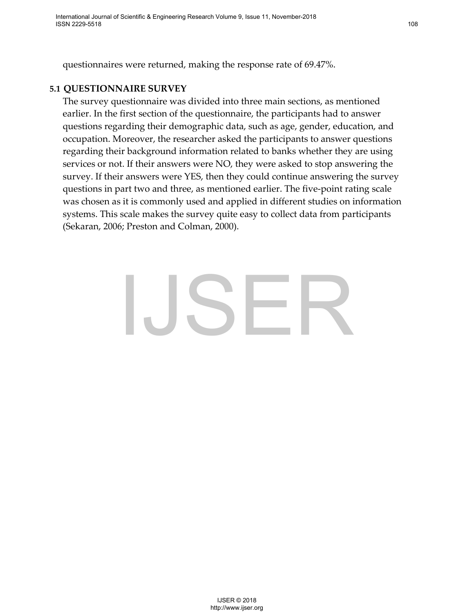questionnaires were returned, making the response rate of 69.47%.

### **5.1 QUESTIONNAIRE SURVEY**

The survey questionnaire was divided into three main sections, as mentioned earlier. In the first section of the questionnaire, the participants had to answer questions regarding their demographic data, such as age, gender, education, and occupation. Moreover, the researcher asked the participants to answer questions regarding their background information related to banks whether they are using services or not. If their answers were NO, they were asked to stop answering the survey. If their answers were YES, then they could continue answering the survey questions in part two and three, as mentioned earlier. The five-point rating scale was chosen as it is commonly used and applied in different studies on information systems. This scale makes the survey quite easy to collect data from participants (Sekaran, 2006; Preston and Colman, 2000).

## $\mathsf{L}\mathsf{S}\mathsf{E}\mathsf{R}$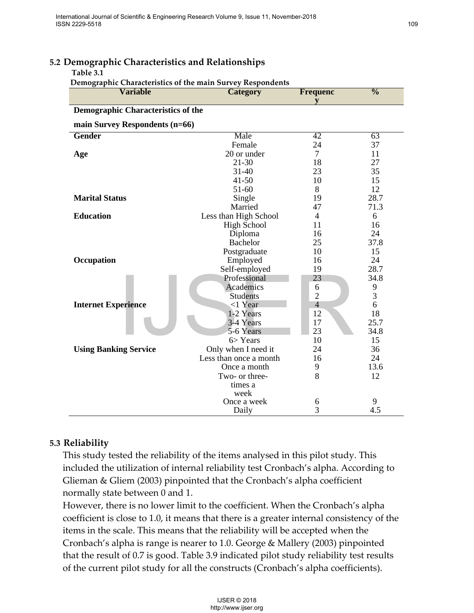| <b>Variable</b>                           | Demographic Characteristics of the main Survey Respondents<br><b>Category</b>             | <b>Frequenc</b> | $\overline{\frac{0}{0}}$ |
|-------------------------------------------|-------------------------------------------------------------------------------------------|-----------------|--------------------------|
|                                           |                                                                                           | V               |                          |
| <b>Demographic Characteristics of the</b> |                                                                                           |                 |                          |
| main Survey Respondents (n=66)            |                                                                                           |                 |                          |
| <b>Gender</b>                             | Male                                                                                      | 42              | 63                       |
|                                           | Female                                                                                    | 24              | 37                       |
| Age                                       | 20 or under                                                                               | $\tau$          | 11                       |
|                                           | $21 - 30$                                                                                 | 18              | 27                       |
|                                           | $31 - 40$                                                                                 | 23              | 35                       |
|                                           | $41 - 50$                                                                                 | 10              | 15                       |
|                                           | 51-60                                                                                     | 8               | 12                       |
| <b>Marital Status</b>                     | Single<br>Married                                                                         | 19<br>47        | 28.7<br>71.3             |
| <b>Education</b>                          | Less than High School                                                                     | 4               | 6                        |
|                                           | <b>High School</b>                                                                        | 11              | 16                       |
|                                           | Diploma                                                                                   | 16              | 24                       |
|                                           | <b>Bachelor</b>                                                                           | 25              | 37.8                     |
|                                           | Postgraduate                                                                              | 10              | 15                       |
| Occupation                                | Employed                                                                                  | 16              | 24                       |
|                                           | Self-employed                                                                             | 19              | 28.7                     |
|                                           | Professional                                                                              | 23              | 34.8                     |
|                                           | Academics                                                                                 | 6               | 9                        |
|                                           | <b>Students</b>                                                                           | $\overline{2}$  | 3                        |
| <b>Internet Experience</b>                | $<$ 1 Year                                                                                | $\overline{4}$  | 6                        |
|                                           | 1-2 Years<br>3-4 Years                                                                    | 12<br>17        | 18<br>25.7               |
|                                           | 5-6 Years                                                                                 | 23              | 34.8                     |
|                                           | $6$ Years                                                                                 | 10              | 15                       |
| <b>Using Banking Service</b>              | Only when I need it                                                                       | 24              | 36                       |
|                                           | Less than once a month                                                                    | 16              | 24                       |
|                                           | Once a month                                                                              | 9               | 13.6                     |
|                                           | Two- or three-                                                                            | 8               | 12                       |
|                                           | times a                                                                                   |                 |                          |
|                                           | week                                                                                      |                 |                          |
|                                           | Once a week                                                                               | 6               | 9                        |
|                                           | Daily                                                                                     | 3               | 4.5                      |
|                                           |                                                                                           |                 |                          |
|                                           |                                                                                           |                 |                          |
| Reliability                               |                                                                                           |                 |                          |
|                                           | This study tested the reliability of the items analysed in this pilot study. This         |                 |                          |
|                                           | ncluded the utilization of internal reliability test Cronbach's alpha. According to       |                 |                          |
|                                           |                                                                                           |                 |                          |
|                                           | Glieman & Gliem (2003) pinpointed that the Cronbach's alpha coefficient                   |                 |                          |
| ormally state between 0 and 1.            |                                                                                           |                 |                          |
|                                           | However, there is no lower limit to the coefficient. When the Cronbach's alpha            |                 |                          |
|                                           |                                                                                           |                 |                          |
|                                           | coefficient is close to 1.0, it means that there is a greater internal consistency of the |                 |                          |
|                                           | tems in the scale. This means that the reliability will be accepted when the              |                 |                          |
|                                           | Cronbach's alpha is range is nearer to 1.0. George & Mallery (2003) pinpointed            |                 |                          |
|                                           |                                                                                           |                 |                          |
|                                           | hat the result of 0.7 is good. Table 3.9 indicated pilot study reliability test results   |                 |                          |
|                                           | of the current pilot study for all the constructs (Cronbach's alpha coefficients).        |                 |                          |
|                                           |                                                                                           |                 |                          |
|                                           |                                                                                           |                 |                          |
|                                           | <b>IJSER © 2018</b>                                                                       |                 |                          |
|                                           | http://www.ijser.org                                                                      |                 |                          |

### **5.2 Demographic Characteristics and Relationships**

**Table 3.1**

### **5.3 Reliability**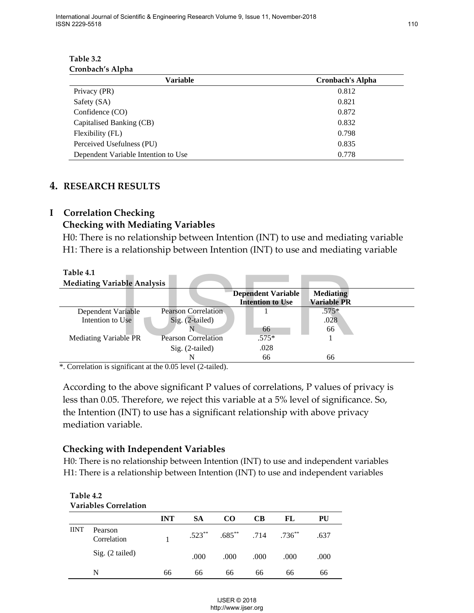**Table 3.2 Cronbach's Alpha**

| <b>Variable</b>                     | <b>Cronbach's Alpha</b> |
|-------------------------------------|-------------------------|
| Privacy (PR)                        | 0.812                   |
| Safety (SA)                         | 0.821                   |
| Confidence (CO)                     | 0.872                   |
| Capitalised Banking (CB)            | 0.832                   |
| Flexibility (FL)                    | 0.798                   |
| Perceived Usefulness (PU)           | 0.835                   |
| Dependent Variable Intention to Use | 0.778                   |

### **4. RESEARCH RESULTS**

### **I Correlation Checking**

### **Checking with Mediating Variables**

 H0: There is no relationship between Intention (INT) to use and mediating variable H1: There is a relationship between Intention (INT) to use and mediating variable

|             |                                        |                                                                                       | <b>Dependent Variable</b> |           | <b>Mediating</b>   |  |
|-------------|----------------------------------------|---------------------------------------------------------------------------------------|---------------------------|-----------|--------------------|--|
|             |                                        | <b>Pearson Correlation</b>                                                            | <b>Intention to Use</b>   |           | <b>Variable PR</b> |  |
|             | Dependent Variable<br>Intention to Use | Sig. (2-tailed)                                                                       |                           |           | $.575*$<br>.028    |  |
|             |                                        | N                                                                                     | 66                        |           | 66                 |  |
|             | Mediating Variable PR                  | <b>Pearson Correlation</b>                                                            | $.575*$                   |           | 1                  |  |
|             |                                        | Sig. (2-tailed)                                                                       | .028                      |           |                    |  |
|             |                                        | N                                                                                     | 66                        |           | 66                 |  |
|             |                                        | *. Correlation is significant at the 0.05 level (2-tailed).                           |                           |           |                    |  |
|             |                                        |                                                                                       |                           |           |                    |  |
|             |                                        | According to the above significant P values of correlations, P values of privacy is   |                           |           |                    |  |
|             |                                        | less than 0.05. Therefore, we reject this variable at a 5% level of significance. So, |                           |           |                    |  |
|             |                                        |                                                                                       |                           |           |                    |  |
|             |                                        |                                                                                       |                           |           |                    |  |
|             |                                        | the Intention (INT) to use has a significant relationship with above privacy          |                           |           |                    |  |
|             | mediation variable.                    |                                                                                       |                           |           |                    |  |
|             |                                        |                                                                                       |                           |           |                    |  |
|             |                                        |                                                                                       |                           |           |                    |  |
|             |                                        | <b>Checking with Independent Variables</b>                                            |                           |           |                    |  |
|             |                                        | H0: There is no relationship between Intention (INT) to use and independent variables |                           |           |                    |  |
|             |                                        | H1: There is a relationship between Intention (INT) to use and independent variables  |                           |           |                    |  |
|             |                                        |                                                                                       |                           |           |                    |  |
| Table 4.2   |                                        |                                                                                       |                           |           |                    |  |
|             | <b>Variables Correlation</b>           |                                                                                       |                           |           |                    |  |
|             |                                        | <b>INT</b><br><b>SA</b>                                                               | CB<br>CO                  | FL        | PU                 |  |
| <b>IINT</b> | Pearson                                |                                                                                       |                           |           |                    |  |
|             | Correlation                            | $.523***$<br>1                                                                        | $.685**$<br>.714          | $.736***$ | .637               |  |
|             |                                        |                                                                                       |                           |           |                    |  |
|             | Sig. (2 tailed)                        | .000                                                                                  | .000<br>.000              | .000      | .000               |  |
|             | N                                      | 66<br>66                                                                              | 66<br>66                  | 66        | 66                 |  |

### **Checking with Independent Variables**

### **Table 4.2 Variables Correlation**

|             | Valiavies Colleiation  |            |           |                                            |           |      |      |
|-------------|------------------------|------------|-----------|--------------------------------------------|-----------|------|------|
|             |                        | <b>INT</b> | <b>SA</b> | <b>CO</b>                                  | <b>CB</b> | FL   | PU   |
| <b>IINT</b> | Pearson<br>Correlation |            |           | $.523^{**}$ $.685^{**}$ $.714$ $.736^{**}$ |           |      | .637 |
|             | $Sig. (2-tailed)$      |            | .000      | .000                                       | .000      | .000 | .000 |
|             | N                      | 66         | 66        | 66                                         | 66        | 66   | 66   |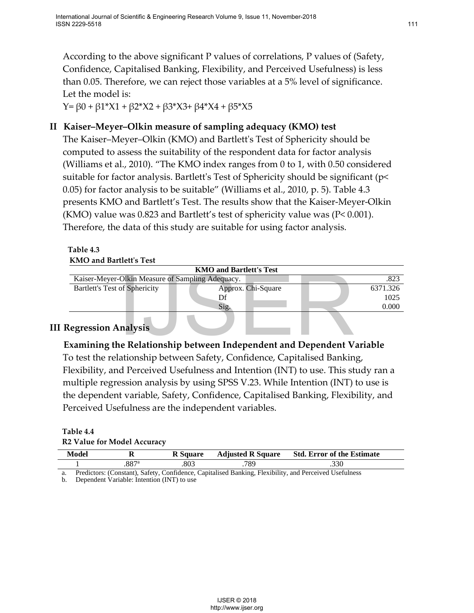According to the above significant P values of correlations, P values of (Safety, Confidence, Capitalised Banking, Flexibility, and Perceived Usefulness) is less than 0.05. Therefore, we can reject those variables at a 5% level of significance. Let the model is:

Y= β0 + β1\*X1 + β2\*X2 + β3\*X3+ β4\*X4 + β5\*X5

### **II Kaiser–Meyer–Olkin measure of sampling adequacy (KMO) test**

The Kaiser–Meyer–Olkin (KMO) and Bartlett's Test of Sphericity should be computed to assess the suitability of the respondent data for factor analysis (Williams et al., 2010). "The KMO index ranges from 0 to 1, with 0.50 considered suitable for factor analysis. Bartlett's Test of Sphericity should be significant (p< 0.05) for factor analysis to be suitable" (Williams et al., 2010, p. 5). Table 4.3 presents KMO and Bartlett's Test. The results show that the Kaiser-Meyer-Olkin (KMO) value was 0.823 and Bartlett's test of sphericity value was ( $P < 0.001$ ). Therefore, the data of this study are suitable for using factor analysis.

### **Table 4.3 KMO and Bartlett's Test**

|                                                  | <b>KMO and Bartlett's Test</b> |          |  |  |  |  |
|--------------------------------------------------|--------------------------------|----------|--|--|--|--|
| Kaiser-Meyer-Olkin Measure of Sampling Adequacy. |                                | .823     |  |  |  |  |
| <b>Bartlett's Test of Sphericity</b>             | Approx. Chi-Square             | 6371.326 |  |  |  |  |
|                                                  | Df                             | 1025     |  |  |  |  |
|                                                  | Sig.                           | 0.000    |  |  |  |  |
|                                                  |                                |          |  |  |  |  |

### **III Regression Analysis**

**Examining the Relationship between Independent and Dependent Variable** To test the relationship between Safety, Confidence, Capitalised Banking, Flexibility, and Perceived Usefulness and Intention (INT) to use. This study ran a multiple regression analysis by using SPSS V.23. While Intention (INT) to use is the dependent variable, Safety, Confidence, Capitalised Banking, Flexibility, and Perceived Usefulness are the independent variables. Olkin Measure of Sampling Adequacy.<br>
of Sphericity<br>
Approx. Chi-Square<br>
Sig.<br> **Inc.**<br>
Sig.<br> **Inc.**<br>
Sig.<br> **Inc.**<br>
Sig.<br> **Inc.**<br>
Sig.<br> **Inc.**<br> **IDEREMANG DEVALUATE:**<br> **INCREMANG DEVALUATE:**<br> **INCREMANG DEVALUATE:**<br> **INCREMA** 

### **Table 4.4 R2 Value for Model Accuracy**

| Model | v | <b>R</b> Square | <b>Adjusted R Square</b> | <b>Std. Error of the Estimate</b> |
|-------|---|-----------------|--------------------------|-----------------------------------|
|       |   | 803             | 789                      |                                   |
|       |   |                 |                          | $\cdots$ $\cdots$                 |

a. Predictors: (Constant), Safety, Confidence, Capitalised Banking, Flexibility, and Perceived Usefulness

b. Dependent Variable: Intention (INT) to use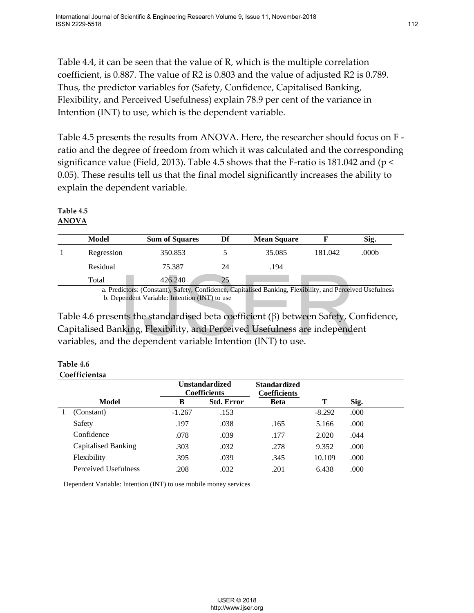Table 4.4, it can be seen that the value of R, which is the multiple correlation coefficient, is 0.887. The value of R2 is 0.803 and the value of adjusted R2 is 0.789. Thus, the predictor variables for (Safety, Confidence, Capitalised Banking, Flexibility, and Perceived Usefulness) explain 78.9 per cent of the variance in Intention (INT) to use, which is the dependent variable.

Table 4.5 presents the results from ANOVA. Here, the researcher should focus on F ratio and the degree of freedom from which it was calculated and the corresponding significance value (Field, 2013). Table 4.5 shows that the F-ratio is 181.042 and ( $p <$ 0.05). These results tell us that the final model significantly increases the ability to explain the dependent variable.

### **Table 4.5 ANOVA**

| <b>Model</b>              | <b>Sum of Squares</b>                                      | Df                 | <b>Mean Square</b>               |          | Sig.           |
|---------------------------|------------------------------------------------------------|--------------------|----------------------------------|----------|----------------|
| Regression                | 350.853                                                    |                    | 35.085                           | 181.042  | .000b          |
| Residual                  | 75.387                                                     | 24                 | .194                             |          |                |
| Total                     | 426.240                                                    | 25                 |                                  |          |                |
| $\mathbf{r}$ $\mathbf{r}$ | $\sim$ $\sim$ $\sim$ $\sim$ $\sim$<br>$\sqrt{ }$<br>$\sim$ | $\sim$ 1<br>$\sim$ | $\cdots$<br>1 <sub>D</sub><br>T1 | $-1.111$ | 1 <sub>D</sub> |

| Table 4.6     |
|---------------|
| Coefficientsa |

|   | Total                                                                                      | 426.240  | 25                                           |                                                                                                           |          |      |  |
|---|--------------------------------------------------------------------------------------------|----------|----------------------------------------------|-----------------------------------------------------------------------------------------------------------|----------|------|--|
|   | b. Dependent Variable: Intention (INT) to use                                              |          |                                              | a. Predictors: (Constant), Safety, Confidence, Capitalised Banking, Flexibility, and Perceived Usefulness |          |      |  |
|   | Table 4.6 presents the standardised beta coefficient $(\beta)$ between Safety, Confidence, |          |                                              |                                                                                                           |          |      |  |
|   | Capitalised Banking, Flexibility, and Perceived Usefulness are independent                 |          |                                              |                                                                                                           |          |      |  |
|   | variables, and the dependent variable Intention (INT) to use.                              |          |                                              |                                                                                                           |          |      |  |
|   |                                                                                            |          |                                              |                                                                                                           |          |      |  |
|   | Table 4.6                                                                                  |          |                                              |                                                                                                           |          |      |  |
|   | Coefficientsa                                                                              |          |                                              |                                                                                                           |          |      |  |
|   |                                                                                            |          | <b>Unstandardized</b><br><b>Coefficients</b> | <b>Standardized</b><br><b>Coefficients</b>                                                                |          |      |  |
|   | <b>Model</b>                                                                               | B        | <b>Std. Error</b>                            | <b>Beta</b>                                                                                               | Т        | Sig. |  |
| 1 | (Constant)                                                                                 | $-1.267$ | .153                                         |                                                                                                           | $-8.292$ | .000 |  |
|   | Safety                                                                                     | .197     | .038                                         | .165                                                                                                      | 5.166    | .000 |  |
|   | Confidence                                                                                 | .078     | .039                                         | .177                                                                                                      | 2.020    | .044 |  |
|   | <b>Capitalised Banking</b>                                                                 | .303     | .032                                         | .278                                                                                                      | 9.352    | .000 |  |
|   | Flexibility                                                                                | .395     | .039                                         | .345                                                                                                      | 10.109   | .000 |  |
|   | Perceived Usefulness                                                                       | .208     | .032                                         | .201                                                                                                      | 6.438    | .000 |  |
|   | Dependent Variable: Intention (INT) to use mobile money services                           |          |                                              |                                                                                                           |          |      |  |
|   |                                                                                            |          |                                              |                                                                                                           |          |      |  |
|   |                                                                                            |          |                                              |                                                                                                           |          |      |  |
|   |                                                                                            |          |                                              |                                                                                                           |          |      |  |
|   |                                                                                            |          |                                              |                                                                                                           |          |      |  |
|   |                                                                                            |          |                                              |                                                                                                           |          |      |  |
|   |                                                                                            |          |                                              |                                                                                                           |          |      |  |
|   |                                                                                            |          |                                              |                                                                                                           |          |      |  |
|   |                                                                                            |          |                                              |                                                                                                           |          |      |  |
|   |                                                                                            |          |                                              |                                                                                                           |          |      |  |
|   |                                                                                            |          | <b>IJSER © 2018</b>                          |                                                                                                           |          |      |  |
|   |                                                                                            |          | http://www.ijser.org                         |                                                                                                           |          |      |  |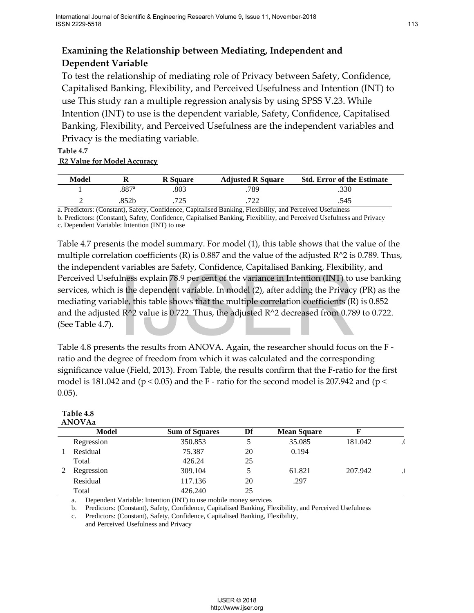### **Examining the Relationship between Mediating, Independent and Dependent Variable**

To test the relationship of mediating role of Privacy between Safety, Confidence, Capitalised Banking, Flexibility, and Perceived Usefulness and Intention (INT) to use This study ran a multiple regression analysis by using SPSS V.23. While Intention (INT) to use is the dependent variable, Safety, Confidence, Capitalised Banking, Flexibility, and Perceived Usefulness are the independent variables and Privacy is the mediating variable.

### **Table 4.7 R2 Value for Model Accuracy**

| Model |      | <b>R</b> Square | <b>Adjusted R Square</b> | <b>Std. Error of the Estimate</b> |
|-------|------|-----------------|--------------------------|-----------------------------------|
|       | 887ª | 803             | 789                      | .330                              |
|       | 852b | ワつち             | ררד                      | .545                              |

a. Predictors: (Constant), Safety, Confidence, Capitalised Banking, Flexibility, and Perceived Usefulness

b. Predictors: (Constant), Safety, Confidence, Capitalised Banking, Flexibility, and Perceived Usefulness and Privacy c. Dependent Variable: Intention (INT) to use

Table 4.7 presents the model summary. For model (1), this table shows that the value of the multiple correlation coefficients (R) is  $0.887$  and the value of the adjusted R^2 is 0.789. Thus, the independent variables are Safety, Confidence, Capitalised Banking, Flexibility, and Perceived Usefulness explain 78.9 per cent of the variance in Intention (INT) to use banking services, which is the dependent variable. In model (2), after adding the Privacy (PR) as the mediating variable, this table shows that the multiple correlation coefficients (R) is 0.852 and the adjusted  $R^2$  value is 0.722. Thus, the adjusted  $R^2$  decreased from 0.789 to 0.722. (See Table 4.7).

|           | (See Table 4.7).                                       | Perceived Usefulness explain 78.9 per cent of the variance in Intention (INT) to use banking<br>services, which is the dependent variable. In model (2), after adding the Privacy (PR) as the<br>mediating variable, this table shows that the multiple correlation coefficients $(R)$ is 0.852<br>and the adjusted $R^2$ value is 0.722. Thus, the adjusted $R^2$ decreased from 0.789 to 0.722. |                                             |                    |             |         |
|-----------|--------------------------------------------------------|---------------------------------------------------------------------------------------------------------------------------------------------------------------------------------------------------------------------------------------------------------------------------------------------------------------------------------------------------------------------------------------------------|---------------------------------------------|--------------------|-------------|---------|
| $0.05$ ). | Table 4.8<br><b>ANOVAa</b>                             | Table 4.8 presents the results from ANOVA. Again, the researcher should focus on the F -<br>ratio and the degree of freedom from which it was calculated and the corresponding<br>significance value (Field, 2013). From Table, the results confirm that the F-ratio for the first<br>model is 181.042 and ( $p < 0.05$ ) and the F - ratio for the second model is 207.942 and ( $p <$           |                                             |                    |             |         |
|           | <b>Model</b>                                           | <b>Sum of Squares</b>                                                                                                                                                                                                                                                                                                                                                                             | Df                                          | <b>Mean Square</b> | $\mathbf F$ |         |
|           | Regression                                             | 350.853                                                                                                                                                                                                                                                                                                                                                                                           | 5                                           | 35.085             | 181.042     | ا.      |
| 1         | Residual                                               | 75.387                                                                                                                                                                                                                                                                                                                                                                                            | 20                                          | 0.194              |             |         |
|           | Total                                                  | 426.24                                                                                                                                                                                                                                                                                                                                                                                            | 25                                          |                    |             |         |
| 2         | Regression                                             | 309.104                                                                                                                                                                                                                                                                                                                                                                                           | 5                                           | 61.821             | 207.942     | $\cdot$ |
|           | Residual                                               | 117.136                                                                                                                                                                                                                                                                                                                                                                                           | 20                                          | .297               |             |         |
|           | Total                                                  | 426.240                                                                                                                                                                                                                                                                                                                                                                                           | 25                                          |                    |             |         |
|           | a.<br>b.<br>c.<br>and Perceived Usefulness and Privacy | Dependent Variable: Intention (INT) to use mobile money services<br>Predictors: (Constant), Safety, Confidence, Capitalised Banking, Flexibility, and Perceived Usefulness<br>Predictors: (Constant), Safety, Confidence, Capitalised Banking, Flexibility,                                                                                                                                       |                                             |                    |             |         |
|           |                                                        |                                                                                                                                                                                                                                                                                                                                                                                                   | <b>IJSER © 2018</b><br>http://www.ijser.org |                    |             |         |

### **Table 4.8 ANOVAa**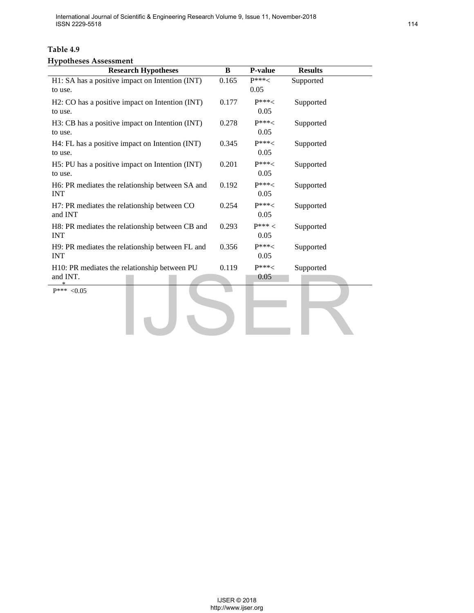International Journal of Scientific & Engineering Research Volume 9, Issue 11, November-2018 ISSN 2229-5518

### **Table 4.9**

### **Hypotheses Assessment**

| <b>Research Hypotheses</b>                                    | $\, {\bf B}$                                | P-value           | <b>Results</b> |
|---------------------------------------------------------------|---------------------------------------------|-------------------|----------------|
| H1: SA has a positive impact on Intention (INT)<br>to use.    | 0.165                                       | $P^{***}$<br>0.05 | Supported      |
| H2: CO has a positive impact on Intention (INT)<br>to use.    | 0.177                                       | $P***<$<br>0.05   | Supported      |
| H3: CB has a positive impact on Intention (INT)<br>to use.    | 0.278                                       | $P^{***}$<br>0.05 | Supported      |
| H4: FL has a positive impact on Intention (INT)<br>to use.    | 0.345                                       | $P***1$<br>0.05   | Supported      |
| H5: PU has a positive impact on Intention (INT)<br>to use.    | 0.201                                       | $P***6$<br>0.05   | Supported      |
| H6: PR mediates the relationship between SA and<br><b>INT</b> | 0.192                                       | $P***<$<br>0.05   | Supported      |
| H7: PR mediates the relationship between CO<br>and INT        | 0.254                                       | $P***<$<br>0.05   | Supported      |
| H8: PR mediates the relationship between CB and<br><b>INT</b> | 0.293                                       | $P***<$<br>0.05   | Supported      |
| H9: PR mediates the relationship between FL and<br><b>INT</b> | 0.356                                       | $P***<$<br>0.05   | Supported      |
| H10: PR mediates the relationship between PU<br>and INT.      | 0.119                                       | $P***1$<br>0.05   | Supported      |
|                                                               |                                             |                   |                |
|                                                               | <b>IJSER © 2018</b><br>http://www.ijser.org |                   |                |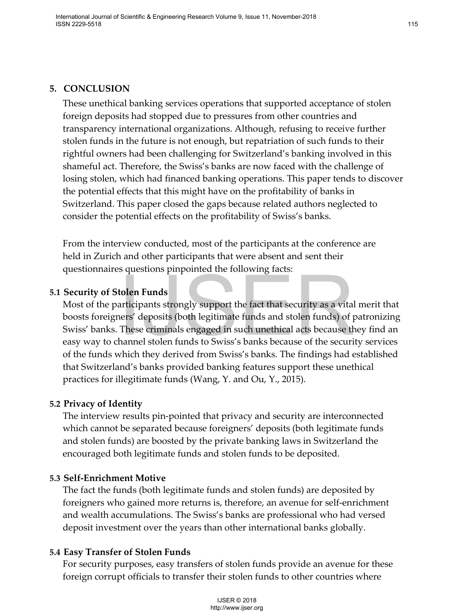### **5. CONCLUSION**

These unethical banking services operations that supported acceptance of stolen foreign deposits had stopped due to pressures from other countries and transparency international organizations. Although, refusing to receive further stolen funds in the future is not enough, but repatriation of such funds to their rightful owners had been challenging for Switzerland's banking involved in this shameful act. Therefore, the Swiss's banks are now faced with the challenge of losing stolen, which had financed banking operations. This paper tends to discover the potential effects that this might have on the profitability of banks in Switzerland. This paper closed the gaps because related authors neglected to consider the potential effects on the profitability of Swiss's banks.

From the interview conducted, most of the participants at the conference are held in Zurich and other participants that were absent and sent their questionnaires questions pinpointed the following facts:

### **5.1 Security of Stolen Funds**

Most of the participants strongly support the fact that security as a vital merit that boosts foreigners' deposits (both legitimate funds and stolen funds) of patronizing Swiss' banks. These criminals engaged in such unethical acts because they find an easy way to channel stolen funds to Swiss's banks because of the security services of the funds which they derived from Swiss's banks. The findings had established that Switzerland's banks provided banking features support these unethical practices for illegitimate funds (Wang, Y. and Ou, Y., 2015). **Example 18 The Source of the Source COM**<br> **Example Source Server Server Server Server Server Server Server Server Server Server Server Server Server Server Server Server Server Server Shanks because of the security which** 

### **5.2 Privacy of Identity**

The interview results pin-pointed that privacy and security are interconnected which cannot be separated because foreigners' deposits (both legitimate funds and stolen funds) are boosted by the private banking laws in Switzerland the encouraged both legitimate funds and stolen funds to be deposited.

### **5.3 Self-Enrichment Motive**

The fact the funds (both legitimate funds and stolen funds) are deposited by foreigners who gained more returns is, therefore, an avenue for self-enrichment and wealth accumulations. The Swiss's banks are professional who had versed deposit investment over the years than other international banks globally.

### **5.4 Easy Transfer of Stolen Funds**

For security purposes, easy transfers of stolen funds provide an avenue for these foreign corrupt officials to transfer their stolen funds to other countries where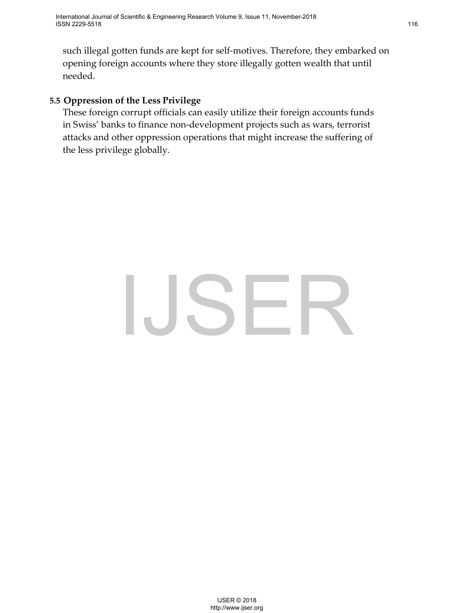such illegal gotten funds are kept for self-motives. Therefore, they embarked on opening foreign accounts where they store illegally gotten wealth that until needed.

### **5.5 Oppression of the Less Privilege**

These foreign corrupt officials can easily utilize their foreign accounts funds in Swiss' banks to finance non-development projects such as wars, terrorist attacks and other oppression operations that might increase the suffering of the less privilege globally.

# $\text{JSER}$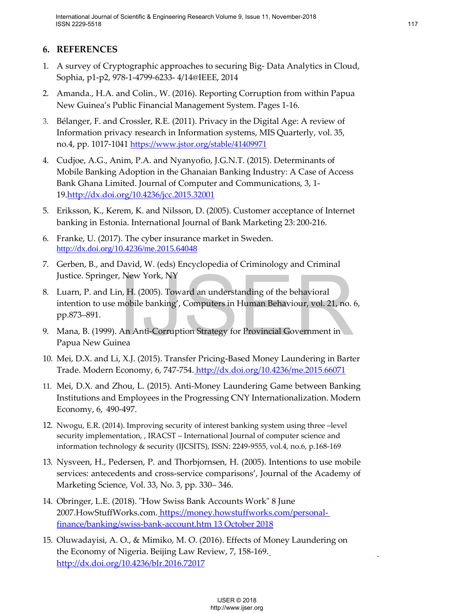### **6. REFERENCES**

- 1. A survey of Cryptographic approaches to securing Big- Data Analytics in Cloud, Sophia, p1-p2, 978-1-4799-6233- 4/14@IEEE, 2014
- 2. Amanda., H.A. and Colin., W. (2016). Reporting Corruption from within Papua New Guinea's Public Financial Management System. Pages 1-16.
- 3. Bélanger, F. and Crossler, R.E. (2011). Privacy in the Digital Age: A review of Information privacy research in Information systems, MIS Quarterly, vol. 35, no.4, pp. 1017-1041<https://www.jstor.org/stable/41409971>
- 4. Cudjoe, A.G., Anim, P.A. and Nyanyofio, J.G.N.T. (2015). Determinants of Mobile Banking Adoption in the Ghanaian Banking Industry: A Case of Access Bank Ghana Limited. Journal of Computer and Communications, 3, 1- 19[.http://dx.doi.org/10.4236/jcc.2015.32001](http://dx.doi.org/10.4236/jcc.2015.32001)
- 5. Eriksson, K., Kerem, K. and Nilsson, D. (2005). Customer acceptance of Internet banking in Estonia. International Journal of Bank Marketing 23: 200-216.
- 6. Franke, U. (2017). The cyber insurance market in Sweden. <http://dx.doi.org/10.4236/me.2015.64048>
- 7. Gerben, B., and David, W. (eds) Encyclopedia of Criminology and Criminal Justice. Springer, New York, NY
- 8. Luarn, P. and Lin, H. (2005). Toward an understanding of the behavioral intention to use mobile banking', Computers in Human Behaviour, vol. 21, no. 6, pp.873–891. New York, NY<br>
In, H. (2005). Toward an understanding of the behavioral<br>
mobile banking', Computers in Human Behaviour, vol. 21, no.<br>
An Anti-Corruption Strategy for Provincial Government in<br>
nea<br>
X.J. (2015). Transfer Pric
- 9. Mana, B. (1999). An Anti-Corruption Strategy for Provincial Government in Papua New Guinea
- 10. Mei, D.X. and Li, X.J. (2015). Transfer Pricing-Based Money Laundering in Barter Trade. Modern Economy, 6, 747-754. <http://dx.doi.org/10.4236/me.2015.66071>
- 11. Mei, D.X. and Zhou, L. (2015). Anti-Money Laundering Game between Banking Institutions and Employees in the Progressing CNY Internationalization. Modern Economy, 6, 490-497.
- 12. Nwogu, E.R. (2014). Improving security of interest banking system using three –level security implementation, , IRACST – International Journal of computer science and information technology & security (IJCSITS), ISSN: 2249-9555, vol.4, no.6, p.168-169
- 13. Nysveen, H., Pedersen, P. and Thorbjornsen, H. (2005). Intentions to use mobile services: antecedents and cross-service comparisons', Journal of the Academy of Marketing Science, Vol. 33, No. 3, pp. 330– 346.
- 14. Obringer, L.E. (2018). "How Swiss Bank Accounts Work" 8 June 2007.HowStuffWorks.com. [https://money.howstuffworks.com/personal](https://money.howstuffworks.com/personal-finance/banking/swiss-bank-account.htm%2013%20October%202018)[finance/banking/swiss-bank-account.htm 13 October 2018](https://money.howstuffworks.com/personal-finance/banking/swiss-bank-account.htm%2013%20October%202018)
- 15. Oluwadayisi, A. O., & Mimiko, M. O. (2016). Effects of Money Laundering on the Economy of Nigeria. Beijing Law Review, 7, 158-169. <http://dx.doi.org/10.4236/blr.2016.72017>